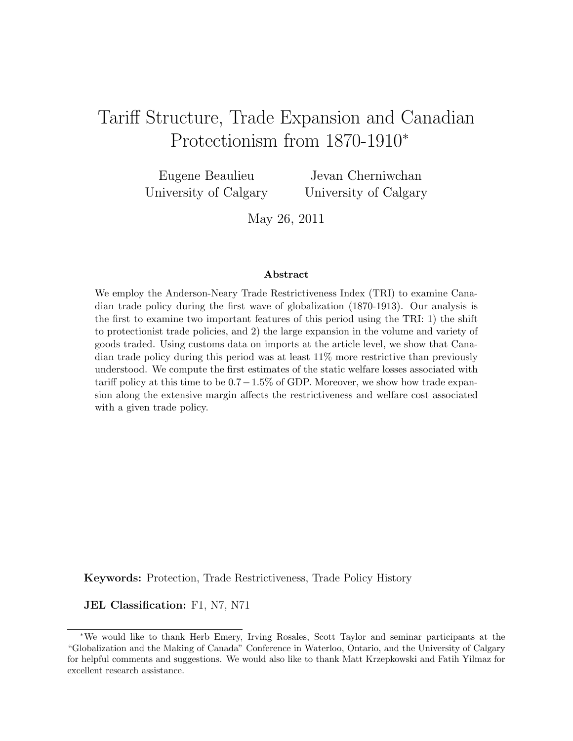# Tariff Structure, Trade Expansion and Canadian Protectionism from 1870-1910<sup>∗</sup>

Eugene Beaulieu University of Calgary

Jevan Cherniwchan University of Calgary

May 26, 2011

#### Abstract

We employ the Anderson-Neary Trade Restrictiveness Index (TRI) to examine Canadian trade policy during the first wave of globalization (1870-1913). Our analysis is the first to examine two important features of this period using the TRI: 1) the shift to protectionist trade policies, and 2) the large expansion in the volume and variety of goods traded. Using customs data on imports at the article level, we show that Canadian trade policy during this period was at least 11% more restrictive than previously understood. We compute the first estimates of the static welfare losses associated with tariff policy at this time to be  $0.7-1.5\%$  of GDP. Moreover, we show how trade expansion along the extensive margin affects the restrictiveness and welfare cost associated with a given trade policy.

Keywords: Protection, Trade Restrictiveness, Trade Policy History

JEL Classification: F1, N7, N71

<sup>∗</sup>We would like to thank Herb Emery, Irving Rosales, Scott Taylor and seminar participants at the "Globalization and the Making of Canada" Conference in Waterloo, Ontario, and the University of Calgary for helpful comments and suggestions. We would also like to thank Matt Krzepkowski and Fatih Yilmaz for excellent research assistance.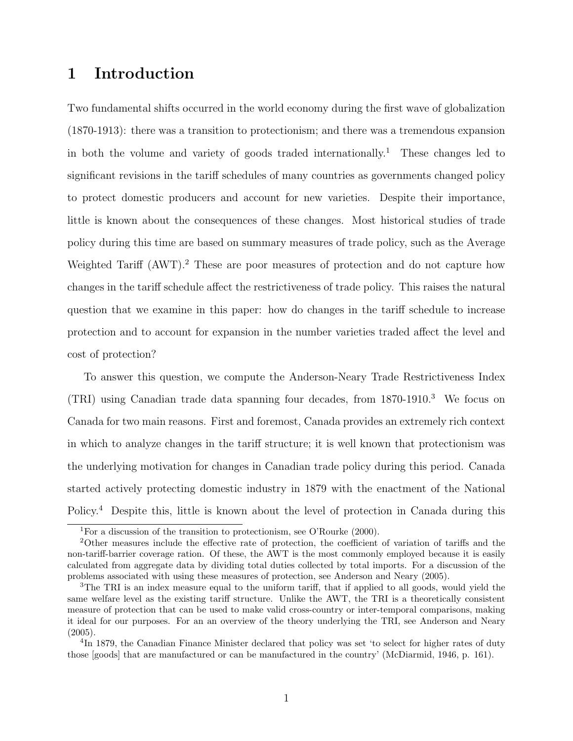## 1 Introduction

Two fundamental shifts occurred in the world economy during the first wave of globalization (1870-1913): there was a transition to protectionism; and there was a tremendous expansion in both the volume and variety of goods traded internationally.<sup>1</sup> These changes led to significant revisions in the tariff schedules of many countries as governments changed policy to protect domestic producers and account for new varieties. Despite their importance, little is known about the consequences of these changes. Most historical studies of trade policy during this time are based on summary measures of trade policy, such as the Average Weighted Tariff (AWT).<sup>2</sup> These are poor measures of protection and do not capture how changes in the tariff schedule affect the restrictiveness of trade policy. This raises the natural question that we examine in this paper: how do changes in the tariff schedule to increase protection and to account for expansion in the number varieties traded affect the level and cost of protection?

To answer this question, we compute the Anderson-Neary Trade Restrictiveness Index (TRI) using Canadian trade data spanning four decades, from 1870-1910.<sup>3</sup> We focus on Canada for two main reasons. First and foremost, Canada provides an extremely rich context in which to analyze changes in the tariff structure; it is well known that protectionism was the underlying motivation for changes in Canadian trade policy during this period. Canada started actively protecting domestic industry in 1879 with the enactment of the National Policy.<sup>4</sup> Despite this, little is known about the level of protection in Canada during this

<sup>1</sup>For a discussion of the transition to protectionism, see O'Rourke (2000).

<sup>2</sup>Other measures include the effective rate of protection, the coefficient of variation of tariffs and the non-tariff-barrier coverage ration. Of these, the AWT is the most commonly employed because it is easily calculated from aggregate data by dividing total duties collected by total imports. For a discussion of the problems associated with using these measures of protection, see Anderson and Neary (2005).

<sup>&</sup>lt;sup>3</sup>The TRI is an index measure equal to the uniform tariff, that if applied to all goods, would yield the same welfare level as the existing tariff structure. Unlike the AWT, the TRI is a theoretically consistent measure of protection that can be used to make valid cross-country or inter-temporal comparisons, making it ideal for our purposes. For an an overview of the theory underlying the TRI, see Anderson and Neary  $(2005).$ 

<sup>&</sup>lt;sup>4</sup>In 1879, the Canadian Finance Minister declared that policy was set 'to select for higher rates of duty those [goods] that are manufactured or can be manufactured in the country' (McDiarmid, 1946, p. 161).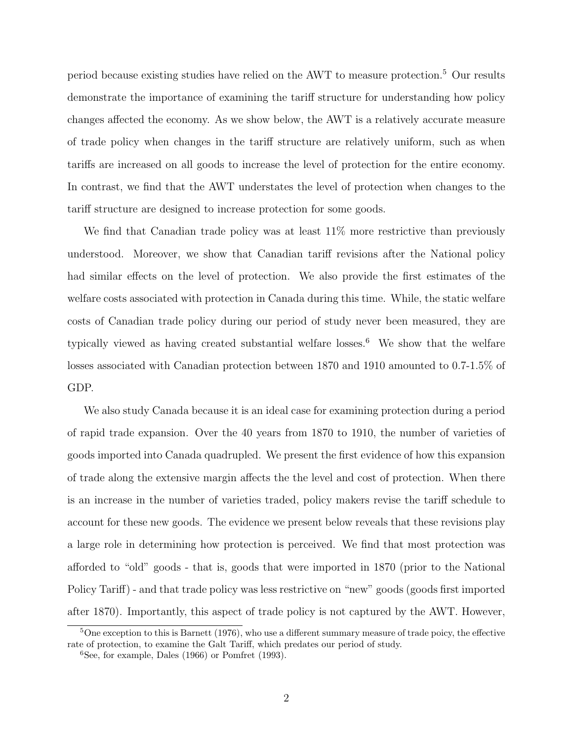period because existing studies have relied on the AWT to measure protection.<sup>5</sup> Our results demonstrate the importance of examining the tariff structure for understanding how policy changes affected the economy. As we show below, the AWT is a relatively accurate measure of trade policy when changes in the tariff structure are relatively uniform, such as when tariffs are increased on all goods to increase the level of protection for the entire economy. In contrast, we find that the AWT understates the level of protection when changes to the tariff structure are designed to increase protection for some goods.

We find that Canadian trade policy was at least  $11\%$  more restrictive than previously understood. Moreover, we show that Canadian tariff revisions after the National policy had similar effects on the level of protection. We also provide the first estimates of the welfare costs associated with protection in Canada during this time. While, the static welfare costs of Canadian trade policy during our period of study never been measured, they are typically viewed as having created substantial welfare losses.<sup>6</sup> We show that the welfare losses associated with Canadian protection between 1870 and 1910 amounted to 0.7-1.5% of GDP.

We also study Canada because it is an ideal case for examining protection during a period of rapid trade expansion. Over the 40 years from 1870 to 1910, the number of varieties of goods imported into Canada quadrupled. We present the first evidence of how this expansion of trade along the extensive margin affects the the level and cost of protection. When there is an increase in the number of varieties traded, policy makers revise the tariff schedule to account for these new goods. The evidence we present below reveals that these revisions play a large role in determining how protection is perceived. We find that most protection was afforded to "old" goods - that is, goods that were imported in 1870 (prior to the National Policy Tariff) - and that trade policy was less restrictive on "new" goods (goods first imported after 1870). Importantly, this aspect of trade policy is not captured by the AWT. However,

 $5$ One exception to this is Barnett (1976), who use a different summary measure of trade poicy, the effective rate of protection, to examine the Galt Tariff, which predates our period of study.

 ${}^{6}$ See, for example, Dales (1966) or Pomfret (1993).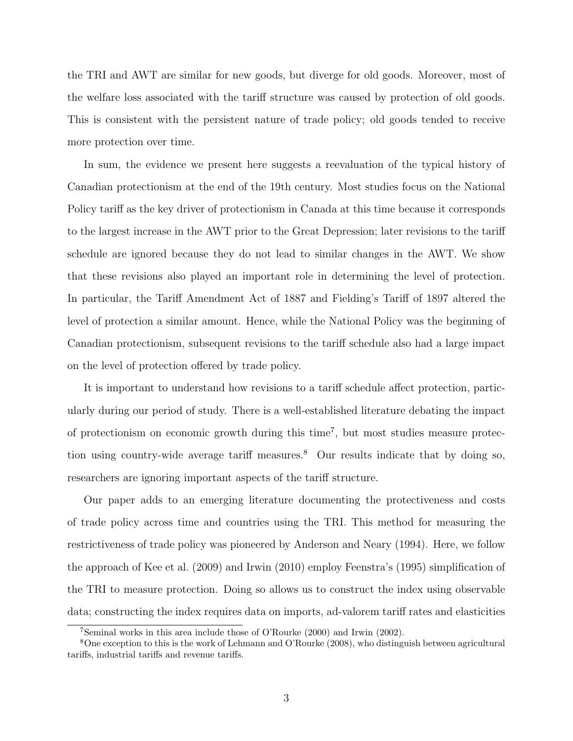the TRI and AWT are similar for new goods, but diverge for old goods. Moreover, most of the welfare loss associated with the tariff structure was caused by protection of old goods. This is consistent with the persistent nature of trade policy; old goods tended to receive more protection over time.

In sum, the evidence we present here suggests a reevaluation of the typical history of Canadian protectionism at the end of the 19th century. Most studies focus on the National Policy tariff as the key driver of protectionism in Canada at this time because it corresponds to the largest increase in the AWT prior to the Great Depression; later revisions to the tariff schedule are ignored because they do not lead to similar changes in the AWT. We show that these revisions also played an important role in determining the level of protection. In particular, the Tariff Amendment Act of 1887 and Fielding's Tariff of 1897 altered the level of protection a similar amount. Hence, while the National Policy was the beginning of Canadian protectionism, subsequent revisions to the tariff schedule also had a large impact on the level of protection offered by trade policy.

It is important to understand how revisions to a tariff schedule affect protection, particularly during our period of study. There is a well-established literature debating the impact of protectionism on economic growth during this time<sup>7</sup>, but most studies measure protection using country-wide average tariff measures.<sup>8</sup> Our results indicate that by doing so, researchers are ignoring important aspects of the tariff structure.

Our paper adds to an emerging literature documenting the protectiveness and costs of trade policy across time and countries using the TRI. This method for measuring the restrictiveness of trade policy was pioneered by Anderson and Neary (1994). Here, we follow the approach of Kee et al. (2009) and Irwin (2010) employ Feenstra's (1995) simplification of the TRI to measure protection. Doing so allows us to construct the index using observable data; constructing the index requires data on imports, ad-valorem tariff rates and elasticities

<sup>7</sup>Seminal works in this area include those of O'Rourke (2000) and Irwin (2002).

<sup>8</sup>One exception to this is the work of Lehmann and O'Rourke (2008), who distinguish between agricultural tariffs, industrial tariffs and revenue tariffs.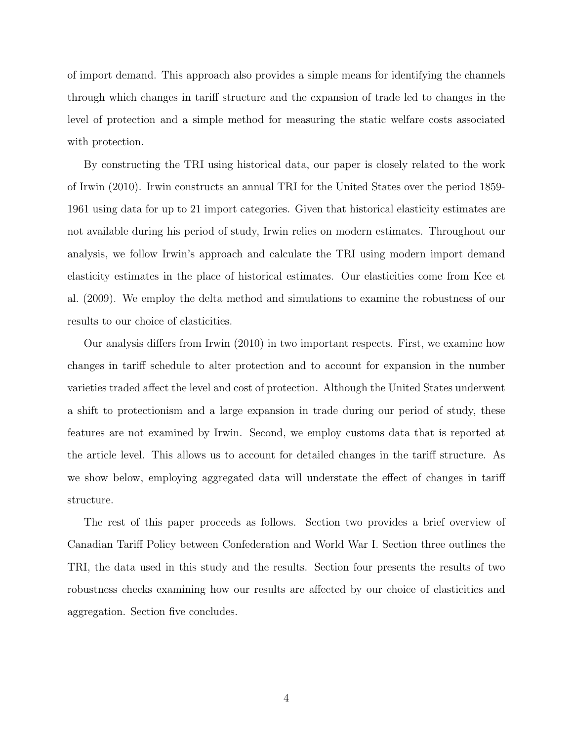of import demand. This approach also provides a simple means for identifying the channels through which changes in tariff structure and the expansion of trade led to changes in the level of protection and a simple method for measuring the static welfare costs associated with protection.

By constructing the TRI using historical data, our paper is closely related to the work of Irwin (2010). Irwin constructs an annual TRI for the United States over the period 1859- 1961 using data for up to 21 import categories. Given that historical elasticity estimates are not available during his period of study, Irwin relies on modern estimates. Throughout our analysis, we follow Irwin's approach and calculate the TRI using modern import demand elasticity estimates in the place of historical estimates. Our elasticities come from Kee et al. (2009). We employ the delta method and simulations to examine the robustness of our results to our choice of elasticities.

Our analysis differs from Irwin (2010) in two important respects. First, we examine how changes in tariff schedule to alter protection and to account for expansion in the number varieties traded affect the level and cost of protection. Although the United States underwent a shift to protectionism and a large expansion in trade during our period of study, these features are not examined by Irwin. Second, we employ customs data that is reported at the article level. This allows us to account for detailed changes in the tariff structure. As we show below, employing aggregated data will understate the effect of changes in tariff structure.

The rest of this paper proceeds as follows. Section two provides a brief overview of Canadian Tariff Policy between Confederation and World War I. Section three outlines the TRI, the data used in this study and the results. Section four presents the results of two robustness checks examining how our results are affected by our choice of elasticities and aggregation. Section five concludes.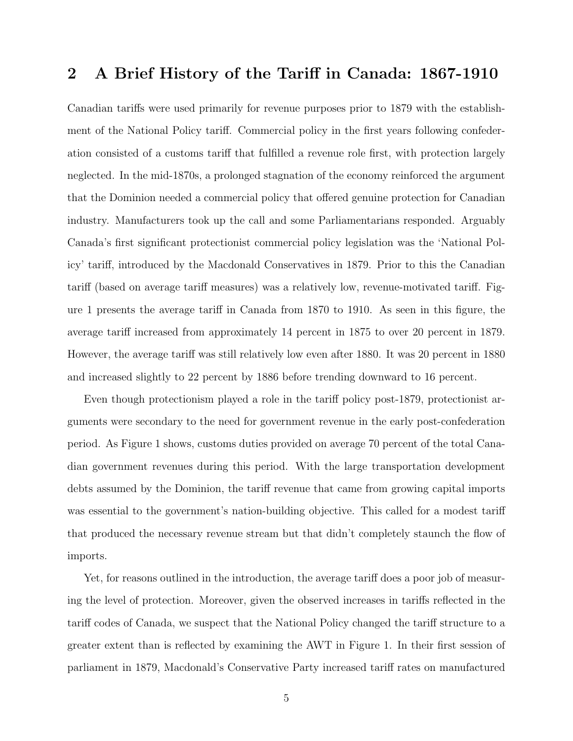### 2 A Brief History of the Tariff in Canada: 1867-1910

Canadian tariffs were used primarily for revenue purposes prior to 1879 with the establishment of the National Policy tariff. Commercial policy in the first years following confederation consisted of a customs tariff that fulfilled a revenue role first, with protection largely neglected. In the mid-1870s, a prolonged stagnation of the economy reinforced the argument that the Dominion needed a commercial policy that offered genuine protection for Canadian industry. Manufacturers took up the call and some Parliamentarians responded. Arguably Canada's first significant protectionist commercial policy legislation was the 'National Policy' tariff, introduced by the Macdonald Conservatives in 1879. Prior to this the Canadian tariff (based on average tariff measures) was a relatively low, revenue-motivated tariff. Figure 1 presents the average tariff in Canada from 1870 to 1910. As seen in this figure, the average tariff increased from approximately 14 percent in 1875 to over 20 percent in 1879. However, the average tariff was still relatively low even after 1880. It was 20 percent in 1880 and increased slightly to 22 percent by 1886 before trending downward to 16 percent.

Even though protectionism played a role in the tariff policy post-1879, protectionist arguments were secondary to the need for government revenue in the early post-confederation period. As Figure 1 shows, customs duties provided on average 70 percent of the total Canadian government revenues during this period. With the large transportation development debts assumed by the Dominion, the tariff revenue that came from growing capital imports was essential to the government's nation-building objective. This called for a modest tariff that produced the necessary revenue stream but that didn't completely staunch the flow of imports.

Yet, for reasons outlined in the introduction, the average tariff does a poor job of measuring the level of protection. Moreover, given the observed increases in tariffs reflected in the tariff codes of Canada, we suspect that the National Policy changed the tariff structure to a greater extent than is reflected by examining the AWT in Figure 1. In their first session of parliament in 1879, Macdonald's Conservative Party increased tariff rates on manufactured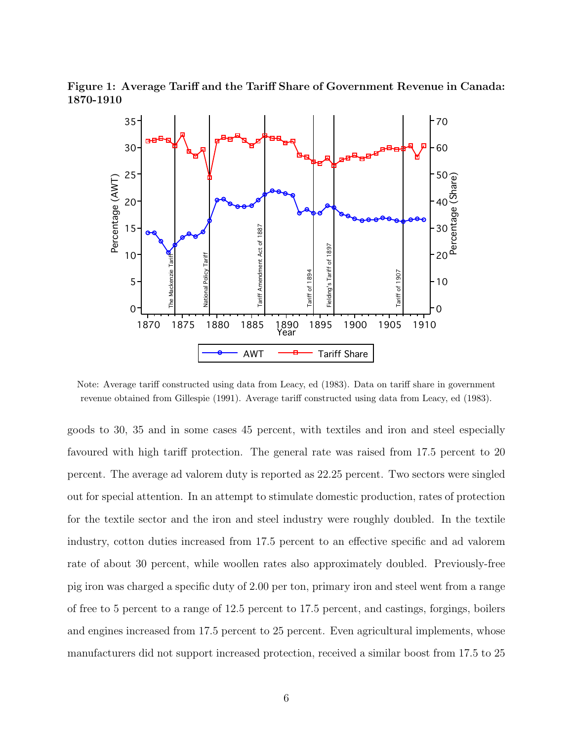Figure 1: Average Tariff and the Tariff Share of Government Revenue in Canada:



Note: Average tariff constructed using data from Leacy, ed (1983). Data on tariff share in government revenue obtained from Gillespie (1991). Average tariff constructed using data from Leacy, ed (1983).

goods to 30, 35 and in some cases 45 percent, with textiles and iron and steel especially favoured with high tariff protection. The general rate was raised from 17.5 percent to 20 percent. The average ad valorem duty is reported as 22.25 percent. Two sectors were singled out for special attention. In an attempt to stimulate domestic production, rates of protection for the textile sector and the iron and steel industry were roughly doubled. In the textile industry, cotton duties increased from 17.5 percent to an effective specific and ad valorem rate of about 30 percent, while woollen rates also approximately doubled. Previously-free pig iron was charged a specific duty of 2.00 per ton, primary iron and steel went from a range of free to 5 percent to a range of 12.5 percent to 17.5 percent, and castings, forgings, boilers and engines increased from 17.5 percent to 25 percent. Even agricultural implements, whose manufacturers did not support increased protection, received a similar boost from 17.5 to 25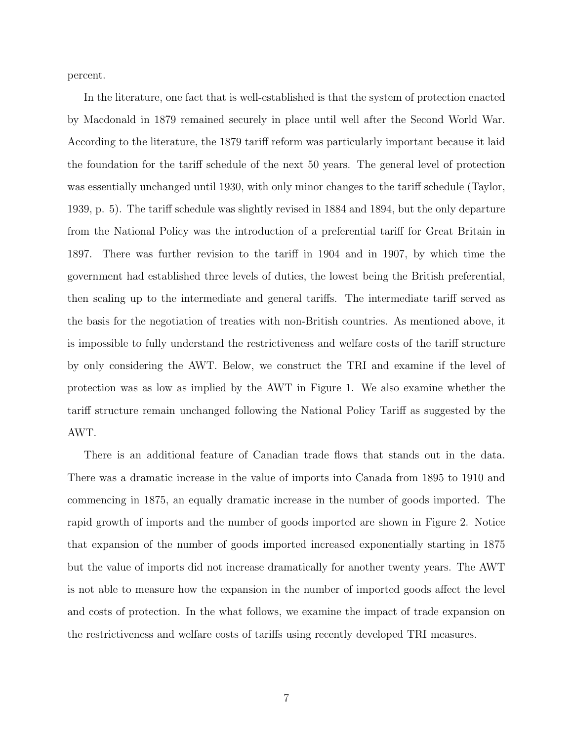percent.

In the literature, one fact that is well-established is that the system of protection enacted by Macdonald in 1879 remained securely in place until well after the Second World War. According to the literature, the 1879 tariff reform was particularly important because it laid the foundation for the tariff schedule of the next 50 years. The general level of protection was essentially unchanged until 1930, with only minor changes to the tariff schedule (Taylor, 1939, p. 5). The tariff schedule was slightly revised in 1884 and 1894, but the only departure from the National Policy was the introduction of a preferential tariff for Great Britain in 1897. There was further revision to the tariff in 1904 and in 1907, by which time the government had established three levels of duties, the lowest being the British preferential, then scaling up to the intermediate and general tariffs. The intermediate tariff served as the basis for the negotiation of treaties with non-British countries. As mentioned above, it is impossible to fully understand the restrictiveness and welfare costs of the tariff structure by only considering the AWT. Below, we construct the TRI and examine if the level of protection was as low as implied by the AWT in Figure 1. We also examine whether the tariff structure remain unchanged following the National Policy Tariff as suggested by the AWT.

There is an additional feature of Canadian trade flows that stands out in the data. There was a dramatic increase in the value of imports into Canada from 1895 to 1910 and commencing in 1875, an equally dramatic increase in the number of goods imported. The rapid growth of imports and the number of goods imported are shown in Figure 2. Notice that expansion of the number of goods imported increased exponentially starting in 1875 but the value of imports did not increase dramatically for another twenty years. The AWT is not able to measure how the expansion in the number of imported goods affect the level and costs of protection. In the what follows, we examine the impact of trade expansion on the restrictiveness and welfare costs of tariffs using recently developed TRI measures.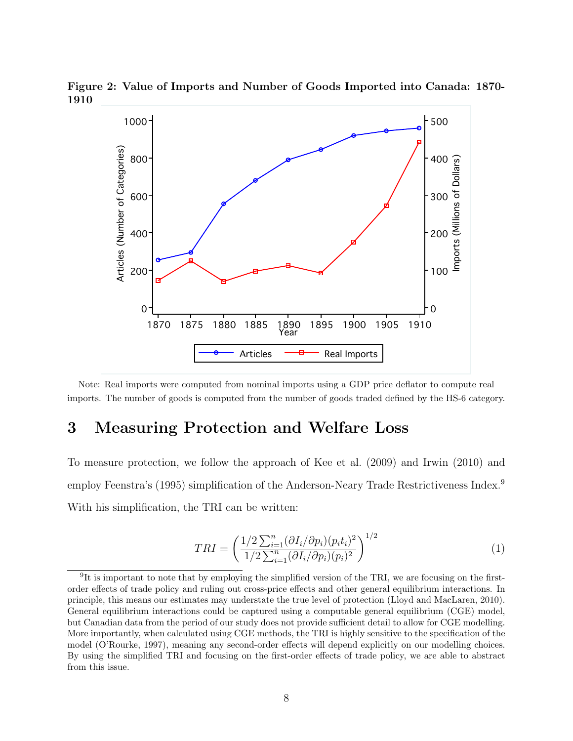Figure 2: Value of Imports and Number of Goods Imported into Canada: 1870- 1910



Note: Real imports were computed from nominal imports using a GDP price deflator to compute real imports. The number of goods is computed from the number of goods traded defined by the HS-6 category.

## 3 Measuring Protection and Welfare Loss

To measure protection, we follow the approach of Kee et al. (2009) and Irwin (2010) and employ Feenstra's (1995) simplification of the Anderson-Neary Trade Restrictiveness Index.<sup>9</sup> With his simplification, the TRI can be written:

$$
TRI = \left(\frac{1/2\sum_{i=1}^{n}(\partial I_i/\partial p_i)(p_i t_i)^2}{1/2\sum_{i=1}^{n}(\partial I_i/\partial p_i)(p_i)^2}\right)^{1/2}
$$
(1)

<sup>&</sup>lt;sup>9</sup>It is important to note that by employing the simplified version of the TRI, we are focusing on the firstorder effects of trade policy and ruling out cross-price effects and other general equilibrium interactions. In principle, this means our estimates may understate the true level of protection (Lloyd and MacLaren, 2010). General equilibrium interactions could be captured using a computable general equilibrium (CGE) model, but Canadian data from the period of our study does not provide sufficient detail to allow for CGE modelling. More importantly, when calculated using CGE methods, the TRI is highly sensitive to the specification of the model (O'Rourke, 1997), meaning any second-order effects will depend explicitly on our modelling choices. By using the simplified TRI and focusing on the first-order effects of trade policy, we are able to abstract from this issue.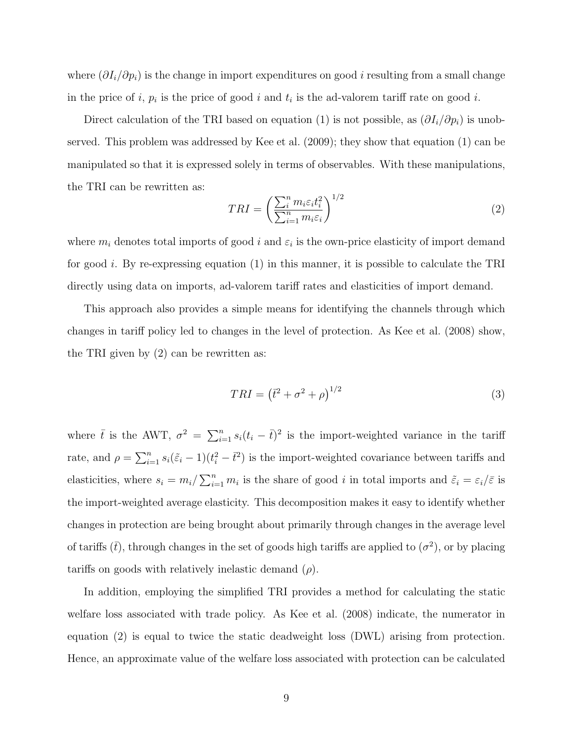where  $(\partial I_i/\partial p_i)$  is the change in import expenditures on good *i* resulting from a small change in the price of  $i, p_i$  is the price of good i and  $t_i$  is the ad-valorem tariff rate on good i.

Direct calculation of the TRI based on equation (1) is not possible, as  $(\partial I_i/\partial p_i)$  is unobserved. This problem was addressed by Kee et al. (2009); they show that equation (1) can be manipulated so that it is expressed solely in terms of observables. With these manipulations, the TRI can be rewritten as:

$$
TRI = \left(\frac{\sum_{i}^{n} m_i \varepsilon_i t_i^2}{\sum_{i=1}^{n} m_i \varepsilon_i}\right)^{1/2} \tag{2}
$$

where  $m_i$  denotes total imports of good i and  $\varepsilon_i$  is the own-price elasticity of import demand for good i. By re-expressing equation  $(1)$  in this manner, it is possible to calculate the TRI directly using data on imports, ad-valorem tariff rates and elasticities of import demand.

This approach also provides a simple means for identifying the channels through which changes in tariff policy led to changes in the level of protection. As Kee et al. (2008) show, the TRI given by (2) can be rewritten as:

$$
TRI = (t^2 + \sigma^2 + \rho)^{1/2}
$$
\n(3)

where  $\bar{t}$  is the AWT,  $\sigma^2 = \sum_{i=1}^n s_i(t_i - \bar{t})^2$  is the import-weighted variance in the tariff rate, and  $\rho = \sum_{i=1}^n s_i(\tilde{z}_i - 1)(t_i^2 - \bar{t}^2)$  is the import-weighted covariance between tariffs and elasticities, where  $s_i = m_i / \sum_{i=1}^n m_i$  is the share of good i in total imports and  $\tilde{\varepsilon}_i = \varepsilon_i / \bar{\varepsilon}$  is the import-weighted average elasticity. This decomposition makes it easy to identify whether changes in protection are being brought about primarily through changes in the average level of tariffs  $(\bar{t})$ , through changes in the set of goods high tariffs are applied to  $(\sigma^2)$ , or by placing tariffs on goods with relatively inelastic demand  $(\rho)$ .

In addition, employing the simplified TRI provides a method for calculating the static welfare loss associated with trade policy. As Kee et al. (2008) indicate, the numerator in equation (2) is equal to twice the static deadweight loss (DWL) arising from protection. Hence, an approximate value of the welfare loss associated with protection can be calculated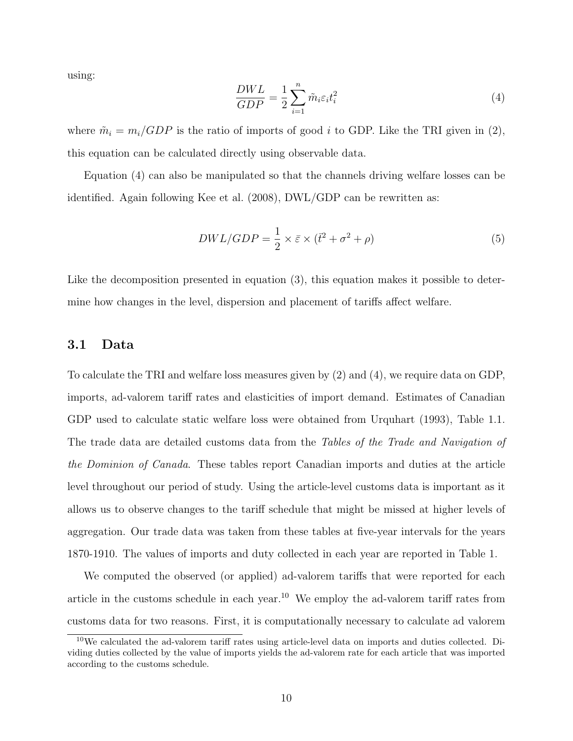using:

$$
\frac{DWL}{GDP} = \frac{1}{2} \sum_{i=1}^{n} \tilde{m}_i \varepsilon_i t_i^2 \tag{4}
$$

where  $\tilde{m}_i = m_i/GDP$  is the ratio of imports of good i to GDP. Like the TRI given in (2), this equation can be calculated directly using observable data.

Equation (4) can also be manipulated so that the channels driving welfare losses can be identified. Again following Kee et al. (2008), DWL/GDP can be rewritten as:

$$
DWL/GDP = \frac{1}{2} \times \bar{\varepsilon} \times (\bar{t}^2 + \sigma^2 + \rho) \tag{5}
$$

Like the decomposition presented in equation (3), this equation makes it possible to determine how changes in the level, dispersion and placement of tariffs affect welfare.

#### 3.1 Data

To calculate the TRI and welfare loss measures given by (2) and (4), we require data on GDP, imports, ad-valorem tariff rates and elasticities of import demand. Estimates of Canadian GDP used to calculate static welfare loss were obtained from Urquhart (1993), Table 1.1. The trade data are detailed customs data from the Tables of the Trade and Navigation of the Dominion of Canada. These tables report Canadian imports and duties at the article level throughout our period of study. Using the article-level customs data is important as it allows us to observe changes to the tariff schedule that might be missed at higher levels of aggregation. Our trade data was taken from these tables at five-year intervals for the years 1870-1910. The values of imports and duty collected in each year are reported in Table 1.

We computed the observed (or applied) ad-valorem tariffs that were reported for each article in the customs schedule in each year.<sup>10</sup> We employ the ad-valorem tariff rates from customs data for two reasons. First, it is computationally necessary to calculate ad valorem

<sup>10</sup>We calculated the ad-valorem tariff rates using article-level data on imports and duties collected. Dividing duties collected by the value of imports yields the ad-valorem rate for each article that was imported according to the customs schedule.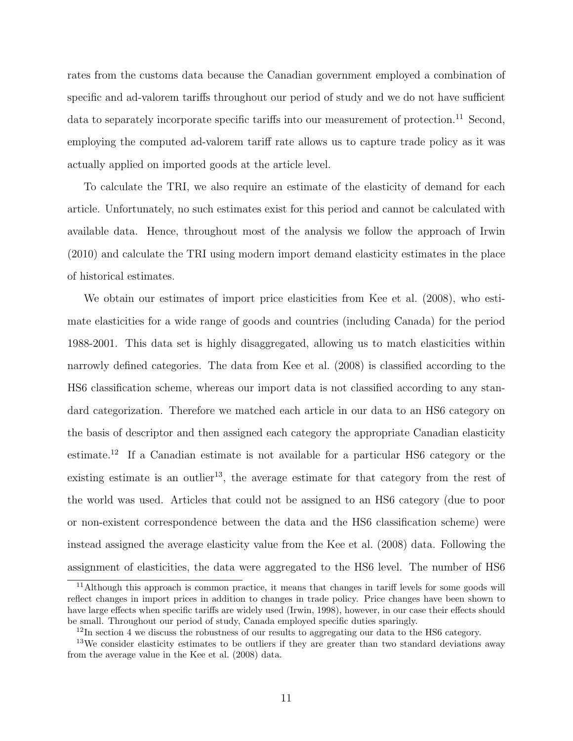rates from the customs data because the Canadian government employed a combination of specific and ad-valorem tariffs throughout our period of study and we do not have sufficient data to separately incorporate specific tariffs into our measurement of protection.<sup>11</sup> Second, employing the computed ad-valorem tariff rate allows us to capture trade policy as it was actually applied on imported goods at the article level.

To calculate the TRI, we also require an estimate of the elasticity of demand for each article. Unfortunately, no such estimates exist for this period and cannot be calculated with available data. Hence, throughout most of the analysis we follow the approach of Irwin (2010) and calculate the TRI using modern import demand elasticity estimates in the place of historical estimates.

We obtain our estimates of import price elasticities from Kee et al. (2008), who estimate elasticities for a wide range of goods and countries (including Canada) for the period 1988-2001. This data set is highly disaggregated, allowing us to match elasticities within narrowly defined categories. The data from Kee et al. (2008) is classified according to the HS6 classification scheme, whereas our import data is not classified according to any standard categorization. Therefore we matched each article in our data to an HS6 category on the basis of descriptor and then assigned each category the appropriate Canadian elasticity estimate.<sup>12</sup> If a Canadian estimate is not available for a particular HS6 category or the existing estimate is an outlier<sup>13</sup>, the average estimate for that category from the rest of the world was used. Articles that could not be assigned to an HS6 category (due to poor or non-existent correspondence between the data and the HS6 classification scheme) were instead assigned the average elasticity value from the Kee et al. (2008) data. Following the assignment of elasticities, the data were aggregated to the HS6 level. The number of HS6

<sup>&</sup>lt;sup>11</sup>Although this approach is common practice, it means that changes in tariff levels for some goods will reflect changes in import prices in addition to changes in trade policy. Price changes have been shown to have large effects when specific tariffs are widely used (Irwin, 1998), however, in our case their effects should be small. Throughout our period of study, Canada employed specific duties sparingly.

<sup>&</sup>lt;sup>12</sup>In section 4 we discuss the robustness of our results to aggregating our data to the HS6 category.

<sup>&</sup>lt;sup>13</sup>We consider elasticity estimates to be outliers if they are greater than two standard deviations away from the average value in the Kee et al. (2008) data.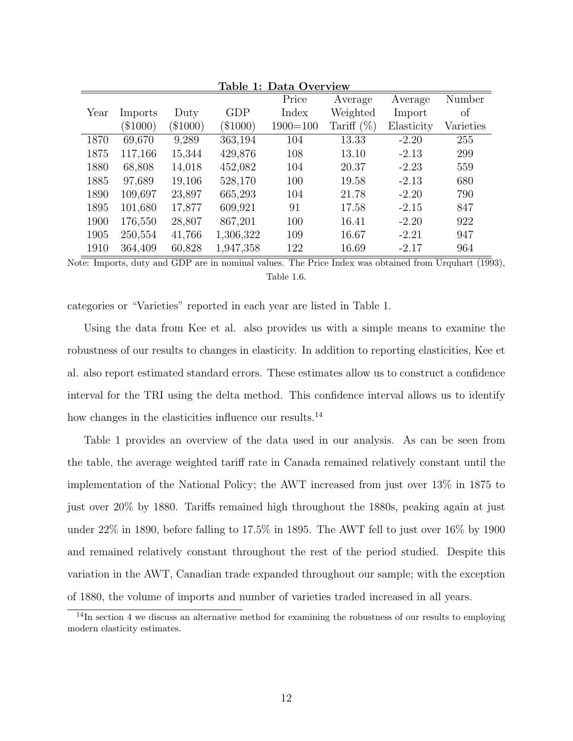| Table 1: Data Overview |         |         |           |              |               |            |           |
|------------------------|---------|---------|-----------|--------------|---------------|------------|-----------|
|                        |         |         |           | Price        | Average       | Average    | Number    |
| Year                   | Imports | Duty    | GDP       | Index        | Weighted      | Import     | of        |
|                        | \$1000) | \$1000) | \$1000)   | $1900 = 100$ | Tariff $(\%)$ | Elasticity | Varieties |
| 1870                   | 69,670  | 9,289   | 363,194   | 104          | 13.33         | $-2.20$    | 255       |
| 1875                   | 117,166 | 15,344  | 429,876   | 108          | 13.10         | $-2.13$    | 299       |
| 1880                   | 68,808  | 14,018  | 452,082   | 104          | 20.37         | $-2.23$    | 559       |
| 1885                   | 97,689  | 19,106  | 528,170   | 100          | 19.58         | $-2.13$    | 680       |
| 1890                   | 109,697 | 23,897  | 665,293   | 104          | 21.78         | $-2.20$    | 790       |
| 1895                   | 101,680 | 17,877  | 609,921   | 91           | 17.58         | $-2.15$    | 847       |
| 1900                   | 176,550 | 28,807  | 867,201   | 100          | 16.41         | $-2.20$    | 922       |
| 1905                   | 250,554 | 41,766  | 1,306,322 | 109          | 16.67         | $-2.21$    | 947       |
| 1910                   | 364,409 | 60,828  | 1,947,358 | 122          | 16.69         | $-2.17$    | 964       |

Note: Imports, duty and GDP are in nominal values. The Price Index was obtained from Urquhart (1993), Table 1.6.

categories or "Varieties" reported in each year are listed in Table 1.

Using the data from Kee et al. also provides us with a simple means to examine the robustness of our results to changes in elasticity. In addition to reporting elasticities, Kee et al. also report estimated standard errors. These estimates allow us to construct a confidence interval for the TRI using the delta method. This confidence interval allows us to identify how changes in the elasticities influence our results.<sup>14</sup>

Table 1 provides an overview of the data used in our analysis. As can be seen from the table, the average weighted tariff rate in Canada remained relatively constant until the implementation of the National Policy; the AWT increased from just over 13% in 1875 to just over 20% by 1880. Tariffs remained high throughout the 1880s, peaking again at just under 22% in 1890, before falling to 17.5% in 1895. The AWT fell to just over 16% by 1900 and remained relatively constant throughout the rest of the period studied. Despite this variation in the AWT, Canadian trade expanded throughout our sample; with the exception of 1880, the volume of imports and number of varieties traded increased in all years.

 $\frac{14}{14}$ In section 4 we discuss an alternative method for examining the robustness of our results to employing modern elasticity estimates.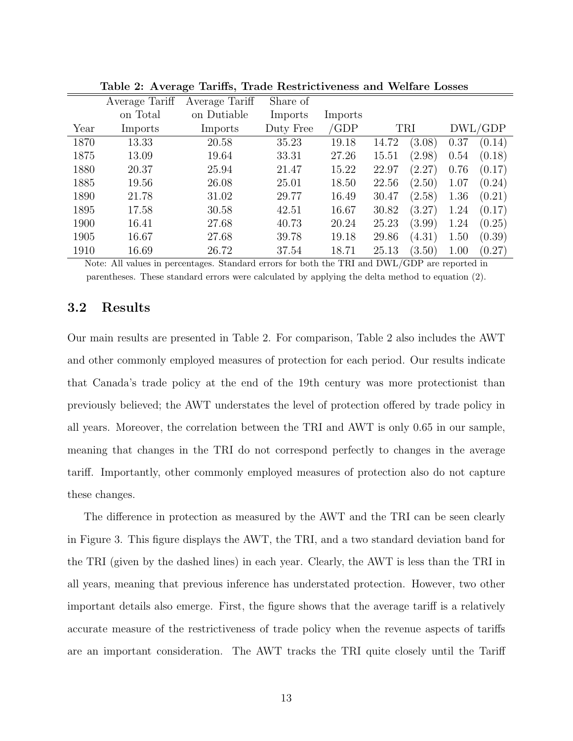|      | Average Tariff | Average Tariff | Share of  |         |       |            |      |         |
|------|----------------|----------------|-----------|---------|-------|------------|------|---------|
|      | on Total       | on Dutiable    | Imports   | Imports |       |            |      |         |
| Year | Imports        | Imports        | Duty Free | 'GDP    |       | <b>TRI</b> |      | DWL/GDP |
| 1870 | 13.33          | 20.58          | 35.23     | 19.18   | 14.72 | (3.08)     | 0.37 | (0.14)  |
| 1875 | 13.09          | 19.64          | 33.31     | 27.26   | 15.51 | (2.98)     | 0.54 | (0.18)  |
| 1880 | 20.37          | 25.94          | 21.47     | 15.22   | 22.97 | (2.27)     | 0.76 | (0.17)  |
| 1885 | 19.56          | 26.08          | 25.01     | 18.50   | 22.56 | (2.50)     | 1.07 | (0.24)  |
| 1890 | 21.78          | 31.02          | 29.77     | 16.49   | 30.47 | (2.58)     | 1.36 | (0.21)  |
| 1895 | 17.58          | 30.58          | 42.51     | 16.67   | 30.82 | (3.27)     | 1.24 | (0.17)  |
| 1900 | 16.41          | 27.68          | 40.73     | 20.24   | 25.23 | (3.99)     | 1.24 | (0.25)  |
| 1905 | 16.67          | 27.68          | 39.78     | 19.18   | 29.86 | (4.31)     | 1.50 | (0.39)  |
| 1910 | 16.69          | 26.72          | 37.54     | 18.71   | 25.13 | (3.50)     | 1.00 | (0.27)  |

Table 2: Average Tariffs, Trade Restrictiveness and Welfare Losses

Note: All values in percentages. Standard errors for both the TRI and DWL/GDP are reported in parentheses. These standard errors were calculated by applying the delta method to equation (2).

### 3.2 Results

Our main results are presented in Table 2. For comparison, Table 2 also includes the AWT and other commonly employed measures of protection for each period. Our results indicate that Canada's trade policy at the end of the 19th century was more protectionist than previously believed; the AWT understates the level of protection offered by trade policy in all years. Moreover, the correlation between the TRI and AWT is only 0.65 in our sample, meaning that changes in the TRI do not correspond perfectly to changes in the average tariff. Importantly, other commonly employed measures of protection also do not capture these changes.

The difference in protection as measured by the AWT and the TRI can be seen clearly in Figure 3. This figure displays the AWT, the TRI, and a two standard deviation band for the TRI (given by the dashed lines) in each year. Clearly, the AWT is less than the TRI in all years, meaning that previous inference has understated protection. However, two other important details also emerge. First, the figure shows that the average tariff is a relatively accurate measure of the restrictiveness of trade policy when the revenue aspects of tariffs are an important consideration. The AWT tracks the TRI quite closely until the Tariff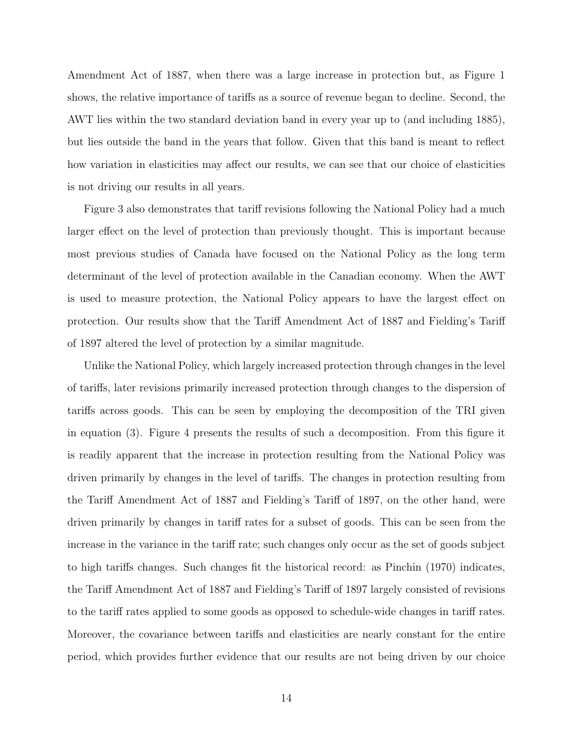Amendment Act of 1887, when there was a large increase in protection but, as Figure 1 shows, the relative importance of tariffs as a source of revenue began to decline. Second, the AWT lies within the two standard deviation band in every year up to (and including 1885), but lies outside the band in the years that follow. Given that this band is meant to reflect how variation in elasticities may affect our results, we can see that our choice of elasticities is not driving our results in all years.

Figure 3 also demonstrates that tariff revisions following the National Policy had a much larger effect on the level of protection than previously thought. This is important because most previous studies of Canada have focused on the National Policy as the long term determinant of the level of protection available in the Canadian economy. When the AWT is used to measure protection, the National Policy appears to have the largest effect on protection. Our results show that the Tariff Amendment Act of 1887 and Fielding's Tariff of 1897 altered the level of protection by a similar magnitude.

Unlike the National Policy, which largely increased protection through changes in the level of tariffs, later revisions primarily increased protection through changes to the dispersion of tariffs across goods. This can be seen by employing the decomposition of the TRI given in equation (3). Figure 4 presents the results of such a decomposition. From this figure it is readily apparent that the increase in protection resulting from the National Policy was driven primarily by changes in the level of tariffs. The changes in protection resulting from the Tariff Amendment Act of 1887 and Fielding's Tariff of 1897, on the other hand, were driven primarily by changes in tariff rates for a subset of goods. This can be seen from the increase in the variance in the tariff rate; such changes only occur as the set of goods subject to high tariffs changes. Such changes fit the historical record: as Pinchin (1970) indicates, the Tariff Amendment Act of 1887 and Fielding's Tariff of 1897 largely consisted of revisions to the tariff rates applied to some goods as opposed to schedule-wide changes in tariff rates. Moreover, the covariance between tariffs and elasticities are nearly constant for the entire period, which provides further evidence that our results are not being driven by our choice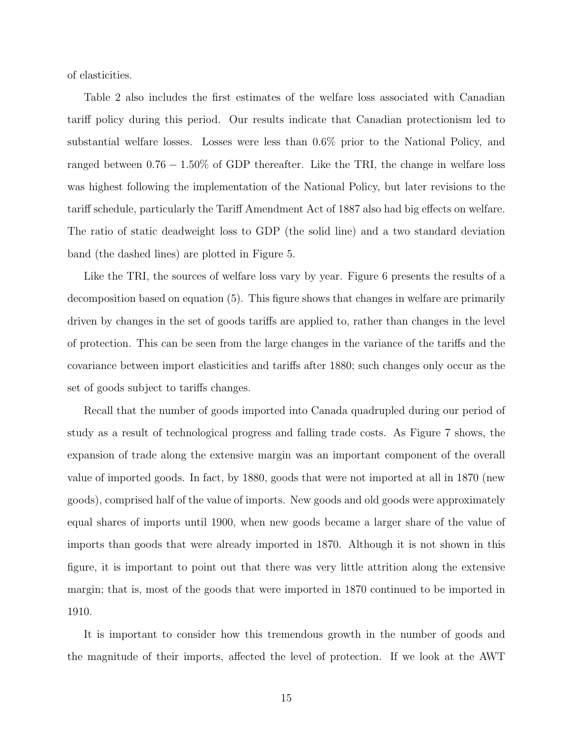of elasticities.

Table 2 also includes the first estimates of the welfare loss associated with Canadian tariff policy during this period. Our results indicate that Canadian protectionism led to substantial welfare losses. Losses were less than 0.6% prior to the National Policy, and ranged between 0.76 − 1.50% of GDP thereafter. Like the TRI, the change in welfare loss was highest following the implementation of the National Policy, but later revisions to the tariff schedule, particularly the Tariff Amendment Act of 1887 also had big effects on welfare. The ratio of static deadweight loss to GDP (the solid line) and a two standard deviation band (the dashed lines) are plotted in Figure 5.

Like the TRI, the sources of welfare loss vary by year. Figure 6 presents the results of a decomposition based on equation (5). This figure shows that changes in welfare are primarily driven by changes in the set of goods tariffs are applied to, rather than changes in the level of protection. This can be seen from the large changes in the variance of the tariffs and the covariance between import elasticities and tariffs after 1880; such changes only occur as the set of goods subject to tariffs changes.

Recall that the number of goods imported into Canada quadrupled during our period of study as a result of technological progress and falling trade costs. As Figure 7 shows, the expansion of trade along the extensive margin was an important component of the overall value of imported goods. In fact, by 1880, goods that were not imported at all in 1870 (new goods), comprised half of the value of imports. New goods and old goods were approximately equal shares of imports until 1900, when new goods became a larger share of the value of imports than goods that were already imported in 1870. Although it is not shown in this figure, it is important to point out that there was very little attrition along the extensive margin; that is, most of the goods that were imported in 1870 continued to be imported in 1910.

It is important to consider how this tremendous growth in the number of goods and the magnitude of their imports, affected the level of protection. If we look at the AWT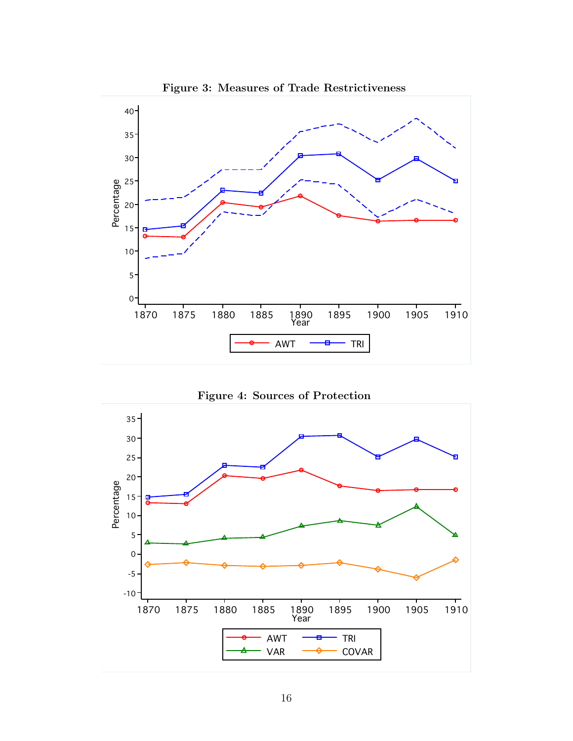

Figure 3: Measures of Trade Restrictiveness



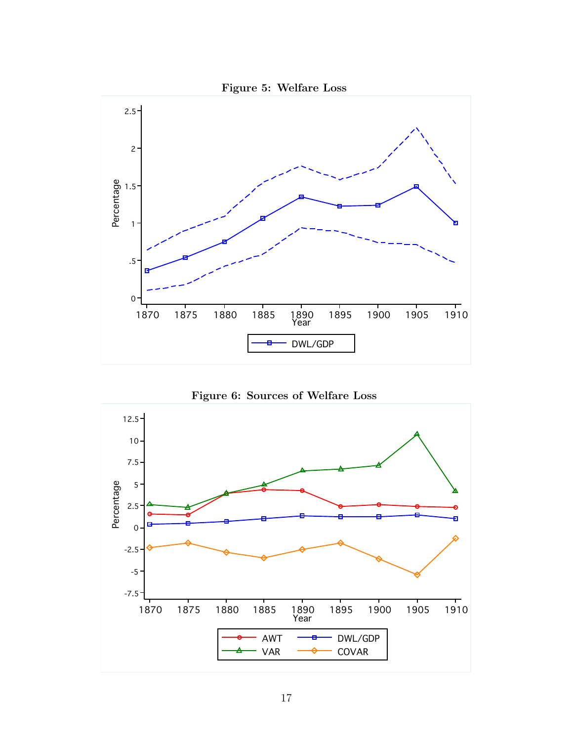



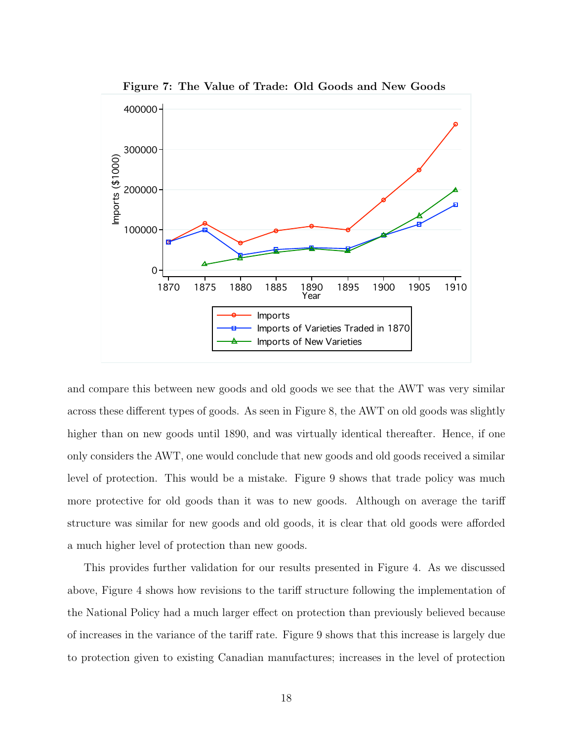

Figure 7: The Value of Trade: Old Goods and New Goods

and compare this between new goods and old goods we see that the AWT was very similar across these different types of goods. As seen in Figure 8, the AWT on old goods was slightly higher than on new goods until 1890, and was virtually identical thereafter. Hence, if one only considers the AWT, one would conclude that new goods and old goods received a similar level of protection. This would be a mistake. Figure 9 shows that trade policy was much more protective for old goods than it was to new goods. Although on average the tariff structure was similar for new goods and old goods, it is clear that old goods were afforded a much higher level of protection than new goods.

This provides further validation for our results presented in Figure 4. As we discussed above, Figure 4 shows how revisions to the tariff structure following the implementation of the National Policy had a much larger effect on protection than previously believed because of increases in the variance of the tariff rate. Figure 9 shows that this increase is largely due to protection given to existing Canadian manufactures; increases in the level of protection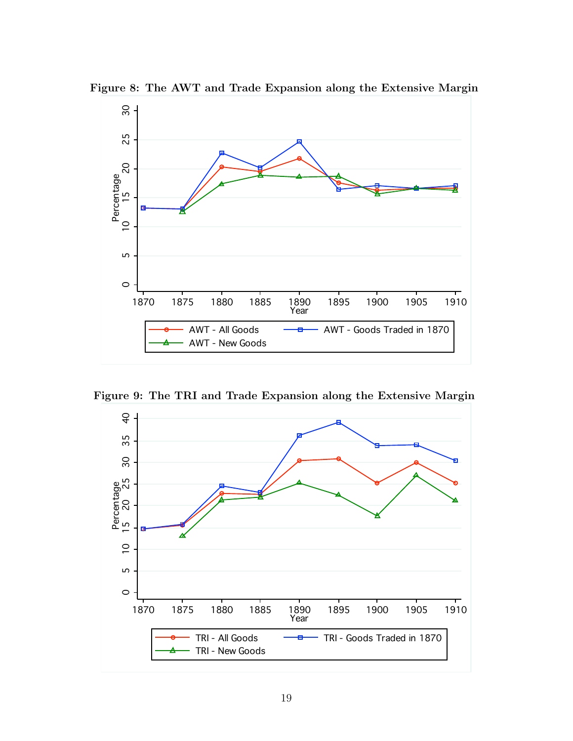

Figure 8: The AWT and Trade Expansion along the Extensive Margin

Figure 9: The TRI and Trade Expansion along the Extensive Margin

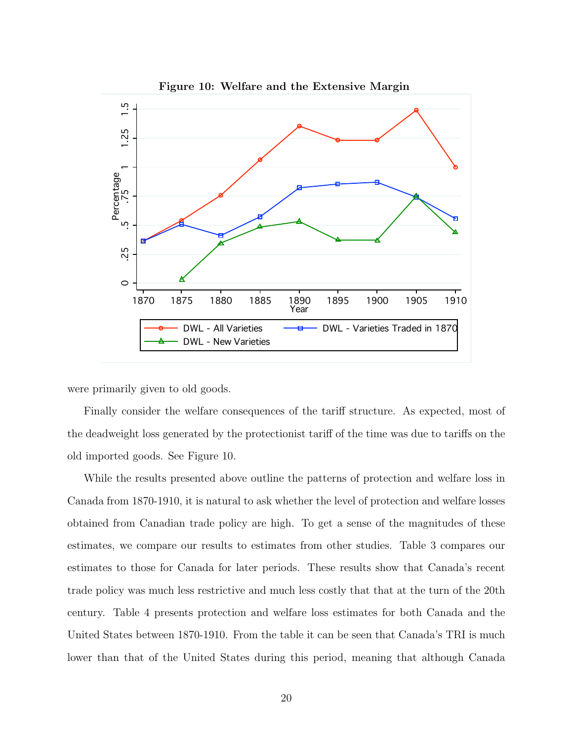

Figure 10: Welfare and the Extensive Margin

were primarily given to old goods.

Finally consider the welfare consequences of the tariff structure. As expected, most of the deadweight loss generated by the protectionist tariff of the time was due to tariffs on the old imported goods. See Figure 10.

While the results presented above outline the patterns of protection and welfare loss in Canada from 1870-1910, it is natural to ask whether the level of protection and welfare losses obtained from Canadian trade policy are high. To get a sense of the magnitudes of these estimates, we compare our results to estimates from other studies. Table 3 compares our estimates to those for Canada for later periods. These results show that Canada's recent trade policy was much less restrictive and much less costly that that at the turn of the 20th century. Table 4 presents protection and welfare loss estimates for both Canada and the United States between 1870-1910. From the table it can be seen that Canada's TRI is much lower than that of the United States during this period, meaning that although Canada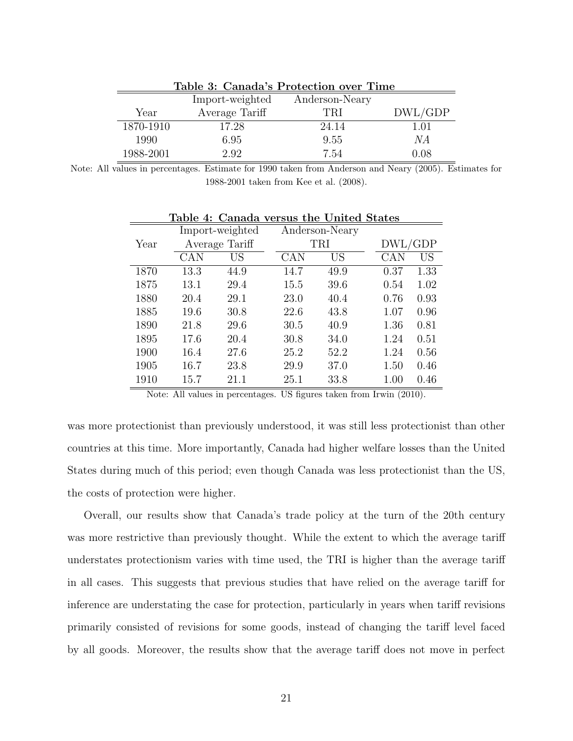| Table 3: Canada's Protection over Time |                 |                |         |  |  |  |
|----------------------------------------|-----------------|----------------|---------|--|--|--|
|                                        | Import-weighted | Anderson-Neary |         |  |  |  |
| Year                                   | Average Tariff  | TRI            | DWL/GDP |  |  |  |
| 1870-1910                              | 17.28           | 24.14          | 1.01    |  |  |  |
| 1990                                   | 6.95            | 9.55           | NА      |  |  |  |
| 1988-2001                              | 2.92            | 7.54           | 0.08    |  |  |  |

Note: All values in percentages. Estimate for 1990 taken from Anderson and Neary (2005). Estimates for 1988-2001 taken from Kee et al. (2008).

|      | Import-weighted |      |      | Anderson-Neary |         |           |
|------|-----------------|------|------|----------------|---------|-----------|
| Year | Average Tariff  |      | TRI  |                | DWL/GDP |           |
|      | CAN             | US   | CAN  | US             | CAN     | <b>US</b> |
| 1870 | 13.3            | 44.9 | 14.7 | 49.9           | 0.37    | 1.33      |
| 1875 | 13.1            | 29.4 | 15.5 | 39.6           | 0.54    | 1.02      |
| 1880 | 20.4            | 29.1 | 23.0 | 40.4           | 0.76    | 0.93      |
| 1885 | 19.6            | 30.8 | 22.6 | 43.8           | 1.07    | 0.96      |
| 1890 | 21.8            | 29.6 | 30.5 | 40.9           | 1.36    | 0.81      |
| 1895 | 17.6            | 20.4 | 30.8 | 34.0           | 1.24    | 0.51      |
| 1900 | 16.4            | 27.6 | 25.2 | 52.2           | 1.24    | 0.56      |
| 1905 | 16.7            | 23.8 | 29.9 | 37.0           | 1.50    | 0.46      |
| 1910 | 15.7            | 21.1 | 25.1 | 33.8           | 1.00    | 0.46      |

Table 4: Canada versus the United States

Note: All values in percentages. US figures taken from Irwin (2010).

was more protectionist than previously understood, it was still less protectionist than other countries at this time. More importantly, Canada had higher welfare losses than the United States during much of this period; even though Canada was less protectionist than the US, the costs of protection were higher.

Overall, our results show that Canada's trade policy at the turn of the 20th century was more restrictive than previously thought. While the extent to which the average tariff understates protectionism varies with time used, the TRI is higher than the average tariff in all cases. This suggests that previous studies that have relied on the average tariff for inference are understating the case for protection, particularly in years when tariff revisions primarily consisted of revisions for some goods, instead of changing the tariff level faced by all goods. Moreover, the results show that the average tariff does not move in perfect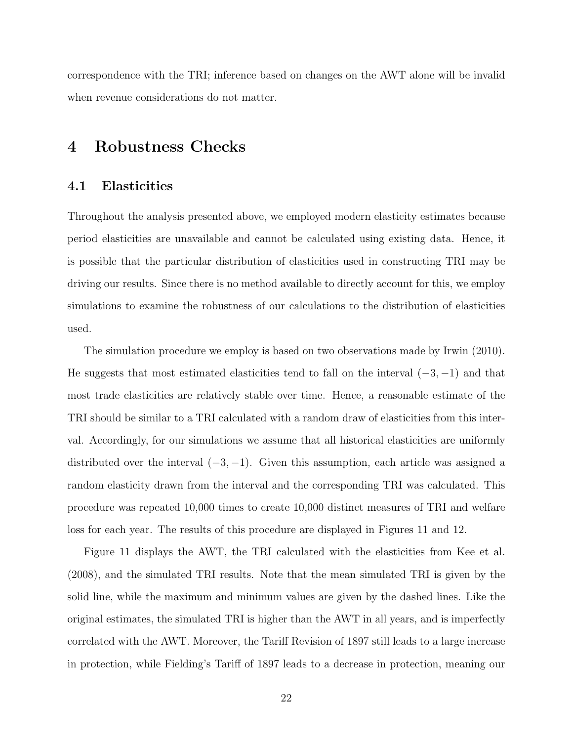correspondence with the TRI; inference based on changes on the AWT alone will be invalid when revenue considerations do not matter.

### 4 Robustness Checks

#### 4.1 Elasticities

Throughout the analysis presented above, we employed modern elasticity estimates because period elasticities are unavailable and cannot be calculated using existing data. Hence, it is possible that the particular distribution of elasticities used in constructing TRI may be driving our results. Since there is no method available to directly account for this, we employ simulations to examine the robustness of our calculations to the distribution of elasticities used.

The simulation procedure we employ is based on two observations made by Irwin (2010). He suggests that most estimated elasticities tend to fall on the interval  $(-3, -1)$  and that most trade elasticities are relatively stable over time. Hence, a reasonable estimate of the TRI should be similar to a TRI calculated with a random draw of elasticities from this interval. Accordingly, for our simulations we assume that all historical elasticities are uniformly distributed over the interval  $(-3, -1)$ . Given this assumption, each article was assigned a random elasticity drawn from the interval and the corresponding TRI was calculated. This procedure was repeated 10,000 times to create 10,000 distinct measures of TRI and welfare loss for each year. The results of this procedure are displayed in Figures 11 and 12.

Figure 11 displays the AWT, the TRI calculated with the elasticities from Kee et al. (2008), and the simulated TRI results. Note that the mean simulated TRI is given by the solid line, while the maximum and minimum values are given by the dashed lines. Like the original estimates, the simulated TRI is higher than the AWT in all years, and is imperfectly correlated with the AWT. Moreover, the Tariff Revision of 1897 still leads to a large increase in protection, while Fielding's Tariff of 1897 leads to a decrease in protection, meaning our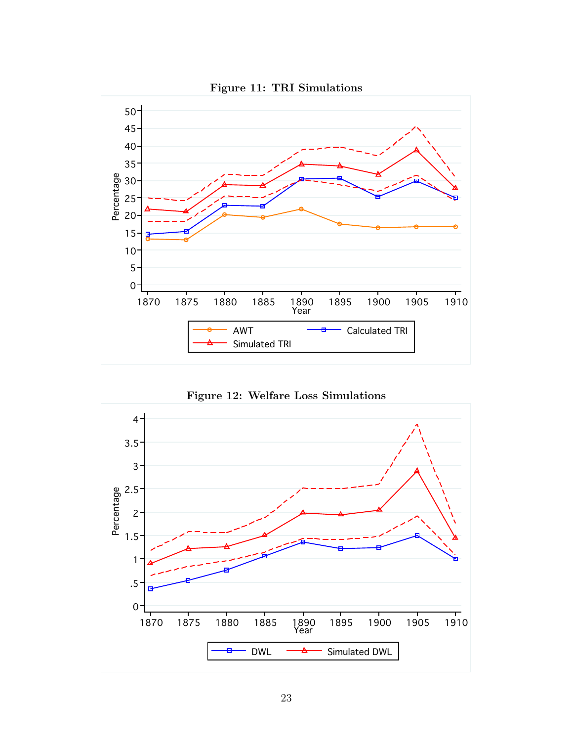



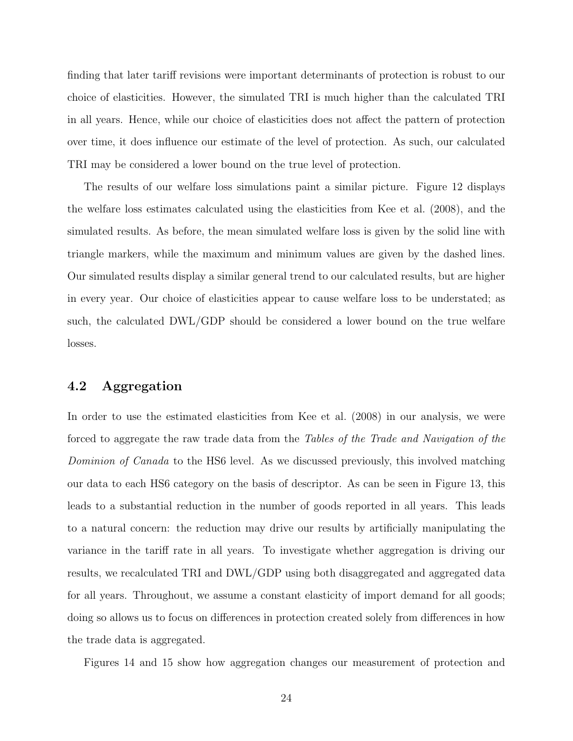finding that later tariff revisions were important determinants of protection is robust to our choice of elasticities. However, the simulated TRI is much higher than the calculated TRI in all years. Hence, while our choice of elasticities does not affect the pattern of protection over time, it does influence our estimate of the level of protection. As such, our calculated TRI may be considered a lower bound on the true level of protection.

The results of our welfare loss simulations paint a similar picture. Figure 12 displays the welfare loss estimates calculated using the elasticities from Kee et al. (2008), and the simulated results. As before, the mean simulated welfare loss is given by the solid line with triangle markers, while the maximum and minimum values are given by the dashed lines. Our simulated results display a similar general trend to our calculated results, but are higher in every year. Our choice of elasticities appear to cause welfare loss to be understated; as such, the calculated DWL/GDP should be considered a lower bound on the true welfare losses.

### 4.2 Aggregation

In order to use the estimated elasticities from Kee et al. (2008) in our analysis, we were forced to aggregate the raw trade data from the Tables of the Trade and Navigation of the Dominion of Canada to the HS6 level. As we discussed previously, this involved matching our data to each HS6 category on the basis of descriptor. As can be seen in Figure 13, this leads to a substantial reduction in the number of goods reported in all years. This leads to a natural concern: the reduction may drive our results by artificially manipulating the variance in the tariff rate in all years. To investigate whether aggregation is driving our results, we recalculated TRI and DWL/GDP using both disaggregated and aggregated data for all years. Throughout, we assume a constant elasticity of import demand for all goods; doing so allows us to focus on differences in protection created solely from differences in how the trade data is aggregated.

Figures 14 and 15 show how aggregation changes our measurement of protection and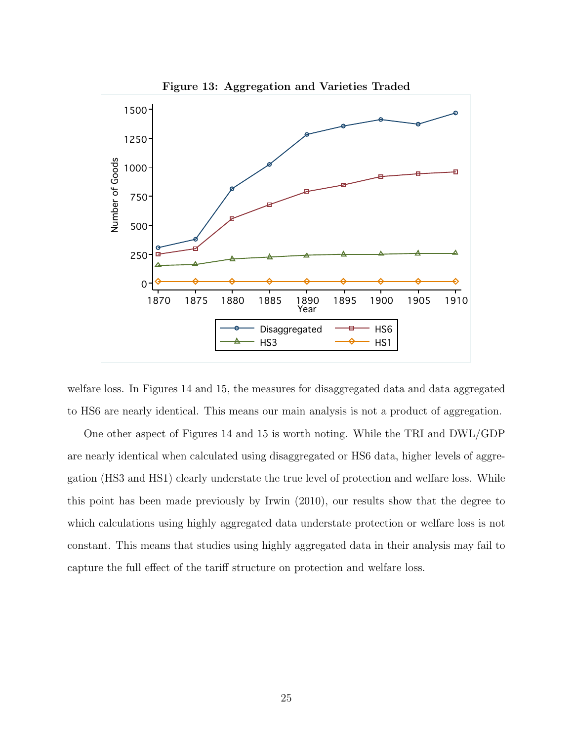

welfare loss. In Figures 14 and 15, the measures for disaggregated data and data aggregated to HS6 are nearly identical. This means our main analysis is not a product of aggregation.

One other aspect of Figures 14 and 15 is worth noting. While the TRI and DWL/GDP are nearly identical when calculated using disaggregated or HS6 data, higher levels of aggregation (HS3 and HS1) clearly understate the true level of protection and welfare loss. While this point has been made previously by Irwin (2010), our results show that the degree to which calculations using highly aggregated data understate protection or welfare loss is not constant. This means that studies using highly aggregated data in their analysis may fail to capture the full effect of the tariff structure on protection and welfare loss.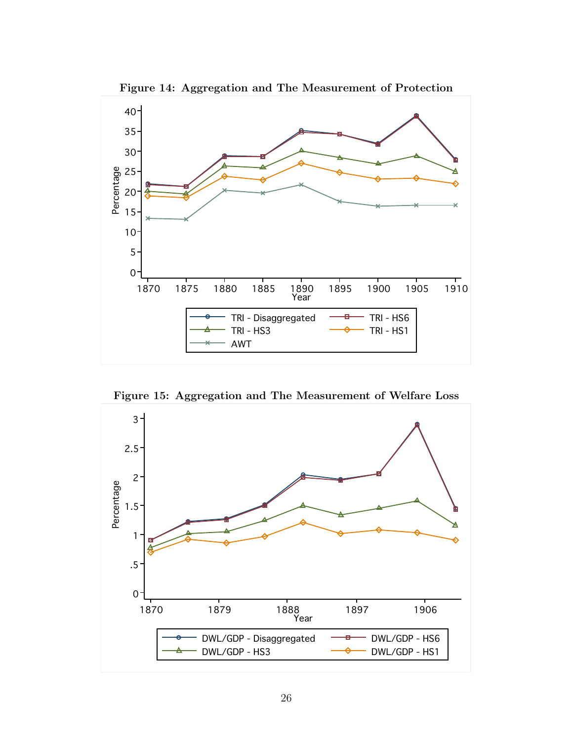

Figure 14: Aggregation and The Measurement of Protection

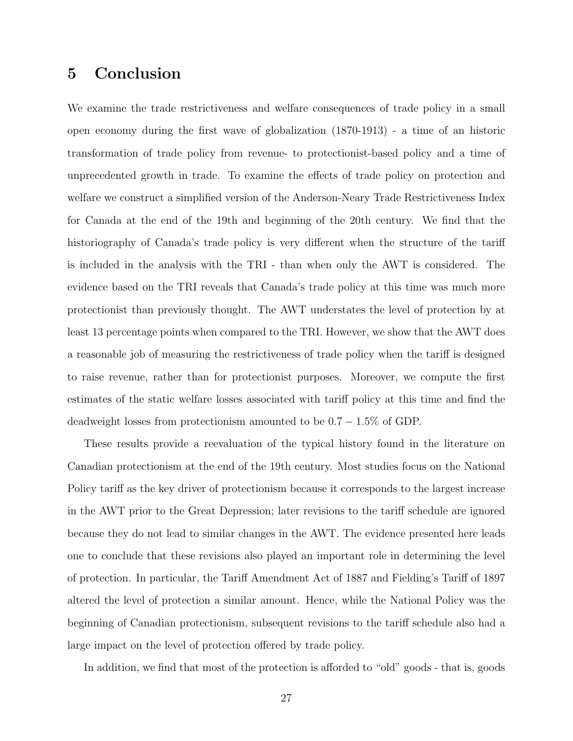## 5 Conclusion

We examine the trade restrictiveness and welfare consequences of trade policy in a small open economy during the first wave of globalization (1870-1913) - a time of an historic transformation of trade policy from revenue- to protectionist-based policy and a time of unprecedented growth in trade. To examine the effects of trade policy on protection and welfare we construct a simplified version of the Anderson-Neary Trade Restrictiveness Index for Canada at the end of the 19th and beginning of the 20th century. We find that the historiography of Canada's trade policy is very different when the structure of the tariff is included in the analysis with the TRI - than when only the AWT is considered. The evidence based on the TRI reveals that Canada's trade policy at this time was much more protectionist than previously thought. The AWT understates the level of protection by at least 13 percentage points when compared to the TRI. However, we show that the AWT does a reasonable job of measuring the restrictiveness of trade policy when the tariff is designed to raise revenue, rather than for protectionist purposes. Moreover, we compute the first estimates of the static welfare losses associated with tariff policy at this time and find the deadweight losses from protectionism amounted to be  $0.7 - 1.5\%$  of GDP.

These results provide a reevaluation of the typical history found in the literature on Canadian protectionism at the end of the 19th century. Most studies focus on the National Policy tariff as the key driver of protectionism because it corresponds to the largest increase in the AWT prior to the Great Depression; later revisions to the tariff schedule are ignored because they do not lead to similar changes in the AWT. The evidence presented here leads one to conclude that these revisions also played an important role in determining the level of protection. In particular, the Tariff Amendment Act of 1887 and Fielding's Tariff of 1897 altered the level of protection a similar amount. Hence, while the National Policy was the beginning of Canadian protectionism, subsequent revisions to the tariff schedule also had a large impact on the level of protection offered by trade policy.

In addition, we find that most of the protection is afforded to "old" goods - that is, goods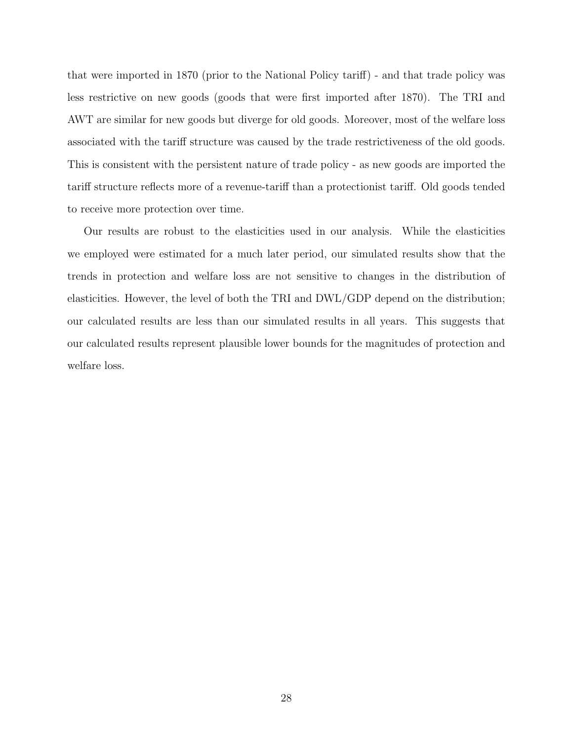that were imported in 1870 (prior to the National Policy tariff) - and that trade policy was less restrictive on new goods (goods that were first imported after 1870). The TRI and AWT are similar for new goods but diverge for old goods. Moreover, most of the welfare loss associated with the tariff structure was caused by the trade restrictiveness of the old goods. This is consistent with the persistent nature of trade policy - as new goods are imported the tariff structure reflects more of a revenue-tariff than a protectionist tariff. Old goods tended to receive more protection over time.

Our results are robust to the elasticities used in our analysis. While the elasticities we employed were estimated for a much later period, our simulated results show that the trends in protection and welfare loss are not sensitive to changes in the distribution of elasticities. However, the level of both the TRI and DWL/GDP depend on the distribution; our calculated results are less than our simulated results in all years. This suggests that our calculated results represent plausible lower bounds for the magnitudes of protection and welfare loss.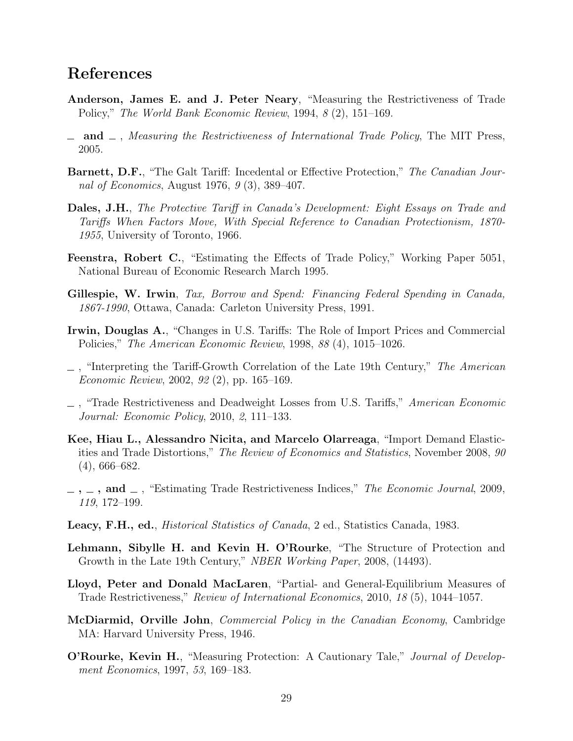### References

- Anderson, James E. and J. Peter Neary, "Measuring the Restrictiveness of Trade Policy," The World Bank Economic Review, 1994, 8 (2), 151–169.
- $\Box$  and  $\Box$ , Measuring the Restrictiveness of International Trade Policy, The MIT Press, 2005.
- Barnett, D.F., "The Galt Tariff: Incedental or Effective Protection," The Canadian Journal of Economics, August 1976, 9 (3), 389–407.
- Dales, J.H., The Protective Tariff in Canada's Development: Eight Essays on Trade and Tariffs When Factors Move, With Special Reference to Canadian Protectionism, 1870- 1955, University of Toronto, 1966.
- Feenstra, Robert C., "Estimating the Effects of Trade Policy," Working Paper 5051, National Bureau of Economic Research March 1995.
- Gillespie, W. Irwin, Tax, Borrow and Spend: Financing Federal Spending in Canada, 1867-1990, Ottawa, Canada: Carleton University Press, 1991.
- Irwin, Douglas A., "Changes in U.S. Tariffs: The Role of Import Prices and Commercial Policies," The American Economic Review, 1998, 88 (4), 1015–1026.
- $\Box$ , "Interpreting the Tariff-Growth Correlation of the Late 19th Century," The American Economic Review, 2002, 92 (2), pp. 165–169.
- , "Trade Restrictiveness and Deadweight Losses from U.S. Tariffs," American Economic Journal: Economic Policy, 2010, 2, 111–133.
- Kee, Hiau L., Alessandro Nicita, and Marcelo Olarreaga, "Import Demand Elasticities and Trade Distortions," The Review of Economics and Statistics, November 2008, 90 (4), 666–682.
- $\ldots$ , and  $\ldots$ , "Estimating Trade Restrictiveness Indices," The Economic Journal, 2009, 119, 172–199.
- Leacy, F.H., ed., Historical Statistics of Canada, 2 ed., Statistics Canada, 1983.
- Lehmann, Sibylle H. and Kevin H. O'Rourke, "The Structure of Protection and Growth in the Late 19th Century," NBER Working Paper, 2008, (14493).
- Lloyd, Peter and Donald MacLaren, "Partial- and General-Equilibrium Measures of Trade Restrictiveness," Review of International Economics, 2010, 18 (5), 1044–1057.
- McDiarmid, Orville John, Commercial Policy in the Canadian Economy, Cambridge MA: Harvard University Press, 1946.
- **O'Rourke, Kevin H.,** "Measuring Protection: A Cautionary Tale," *Journal of Develop*ment Economics, 1997, 53, 169–183.